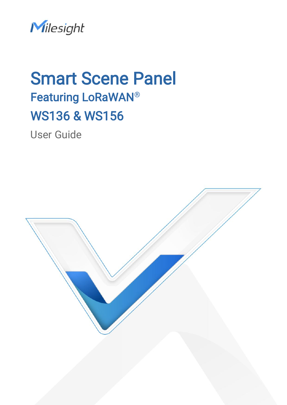

# **Smart Scene Panel** Featuring LoRaWAN® WS136 & WS156

User Guide

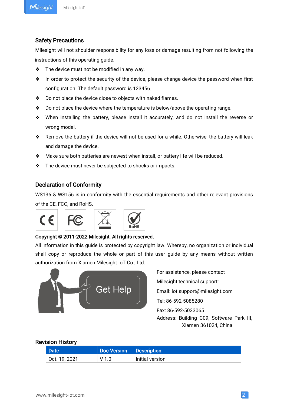#### Safety Precautions

Milesight will not shoulder responsibility for any loss or damage resulting from not following the instructions of this operating guide.

- $\div$  The device must not be modified in any way.
- $\cdot$  In order to protect the security of the device, please change device the password when first configuration. The default password is 123456.
- ❖ Do not place the device close to objects with naked flames.
- $\cdot \cdot$  Do not place the device where the temperature is below/above the operating range.
- When installing the battery, please install it accurately, and do not install the reverse or wrong model.
- \* Remove the battery if the device will not be used for a while. Otherwise, the battery will leak and damage the device.
- \* Make sure both batteries are newest when install, or battery life will be reduced.
- \* The device must never be subjected to shocks or impacts.

#### Declaration of Conformity

WS136 & WS156 is in conformity with the essential requirements and other relevant provisions of the CE, FCC, and RoHS.



#### Copyright © 2011-2022 Milesight. All rights reserved.

All information in this guide is protected by copyright law. Whereby, no organization or individual shall copy or reproduce the whole or part of this user guide by any means without written authorization from Xiamen Milesight IoT Co., Ltd.



For assistance, please contact Milesight technical support: Email: iot.support@milesight.com Tel: 86-592-5085280 Fax: 86-592-5023065 Address: Building C09, Software Park III,

Xiamen 361024, China

#### Revision History

| Date <sup>1</sup> | Doc Version   Description |                 |
|-------------------|---------------------------|-----------------|
| Oct. 19, 2021     | V <sub>1.0</sub>          | Initial version |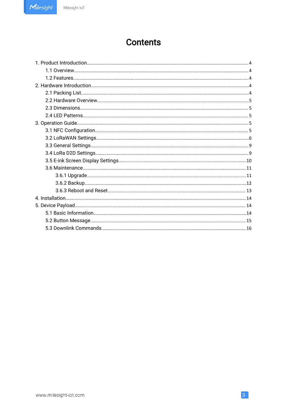## **Contents**

 $\overline{3}$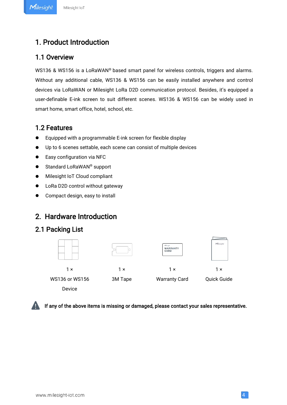### <span id="page-3-1"></span><span id="page-3-0"></span>1.1 Overview

WS136 & WS156 is a LoRaWAN® based smart panel for wireless controls, triggers and alarms. Without any additional cable, WS136 & WS156 can be easily installed anywhere and control devices via LoRaWAN or Milesight LoRa D2D communication protocol. Besides, it's equipped a user-definable E-ink screen to suit different scenes. WS136 & WS156 can be widely used in smart home, smart office, hotel, school, etc.

### 1.2 Features

- Equipped with a programmable E-ink screen for flexible display
- Up to 6 scenes settable, each scene can consist of multiple devices
- Easy configuration via NFC
- Standard LoRaWAN<sup>®</sup> support
- $\bullet$  Milesight IoT Cloud compliant
- LoRa D2D control without gateway
- Compact design, easy to install

### 2. Hardware Introduction

### 2.1 Packing List



Device

If any of the above items is missing or damaged, please contact your sales representative.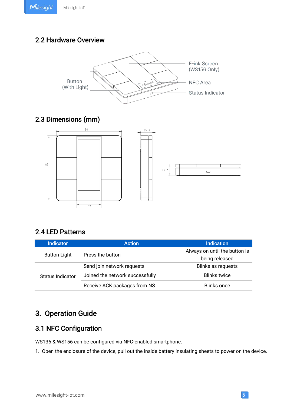### <span id="page-4-1"></span><span id="page-4-0"></span>2.2 Hardware Overview



### 2.3 Dimensions (mm)



### 2.4 LED Patterns

| <b>Indicator</b>        | <b>Action</b>                   | <b>Indication</b>             |
|-------------------------|---------------------------------|-------------------------------|
|                         | Press the button                | Always on until the button is |
| <b>Button Light</b>     |                                 | being released                |
| <b>Status Indicator</b> | Send join network requests      | Blinks as requests            |
|                         | Joined the network successfully | <b>Blinks twice</b>           |
|                         | Receive ACK packages from NS    | <b>Blinks once</b>            |

### 3. Operation Guide

### 3.1 NFC Configuration

WS136 & WS156 can be configured via NFC-enabled smartphone.

1. Open the enclosure of the device, pull out the inside battery insulating sheets to power on the device.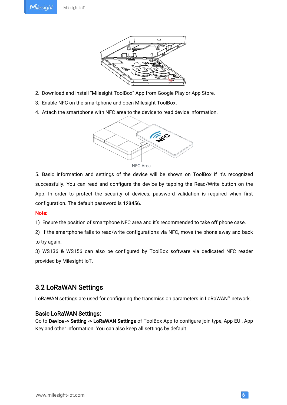

- <span id="page-5-0"></span>2. Download and install "Milesight ToolBox" App from Google Play or App Store.<br>3. Enable NFC on the smartphone and open Milesight ToolBox.
- 
- 4. Attach the smartphone with NFC area to the device to read device information.





5. Basic information and settings of the device will be shown on ToolBox if it's recognized successfully. You can read and configure the device by tapping the Read/Write button on the App. In order to protect the security of devices, password validation is required when first configuration. The default password is 123456.

#### Note:

1) Ensure the position of smartphone NFC area and it's recommended to take off phone case.

2) If the smartphone fails to read/write configurations via NFC, move the phone away and back to try again.

3) WS136 & WS156 can also be configured by ToolBox software via dedicated NFC reader provided by Milesight IoT.

### 3.2 LoRaWAN Settings

LoRaWAN settings are used for configuring the transmission parameters in LoRaWAN® network.

#### Basic LoRaWAN Settings:

Go to Device -> Setting -> LoRaWAN Settings of ToolBox App to configure join type, App EUI, App Key and other information. You can also keep all settings by default.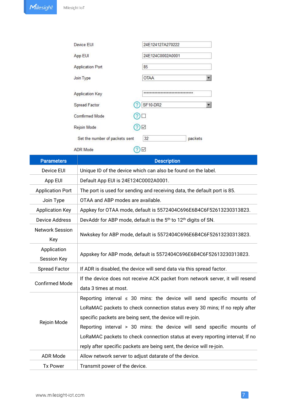| Device EUI                     | 24E124127A270222                  |         |
|--------------------------------|-----------------------------------|---------|
| App EUI                        | 24E124C0002A0001                  |         |
| <b>Application Port</b>        | 85                                |         |
| Join Type                      | <b>OTAA</b>                       |         |
| <b>Application Key</b>         | ********************************* |         |
| Spread Factor                  | <b>SF10-DR2</b><br>7              |         |
| <b>Comfirmed Mode</b>          |                                   |         |
| Rejoin Mode                    | $\checkmark$                      |         |
| Set the number of packets sent | 32                                | packets |
| <b>ADR</b> Mode                | $\checkmark$                      |         |
|                                | <b>Designation</b>                |         |

| <b>Parameters</b>                 | <b>Description</b>                                                                                                                                                                                                                                                                                                                                                                                                                                        |
|-----------------------------------|-----------------------------------------------------------------------------------------------------------------------------------------------------------------------------------------------------------------------------------------------------------------------------------------------------------------------------------------------------------------------------------------------------------------------------------------------------------|
| Device EUI                        | Unique ID of the device which can also be found on the label.                                                                                                                                                                                                                                                                                                                                                                                             |
| App EUI                           | Default App EUI is 24E124C0002A0001.                                                                                                                                                                                                                                                                                                                                                                                                                      |
| <b>Application Port</b>           | The port is used for sending and receiving data, the default port is 85.                                                                                                                                                                                                                                                                                                                                                                                  |
| Join Type                         | OTAA and ABP modes are available.                                                                                                                                                                                                                                                                                                                                                                                                                         |
| <b>Application Key</b>            | Appkey for OTAA mode, default is 5572404C696E6B4C6F52613230313823.                                                                                                                                                                                                                                                                                                                                                                                        |
| <b>Device Address</b>             | DevAddr for ABP mode, default is the 5 <sup>th</sup> to 12 <sup>th</sup> digits of SN.                                                                                                                                                                                                                                                                                                                                                                    |
| <b>Network Session</b><br>Key     | Nwkskey for ABP mode, default is 5572404C696E6B4C6F52613230313823.                                                                                                                                                                                                                                                                                                                                                                                        |
| Application<br><b>Session Key</b> | Appskey for ABP mode, default is 5572404C696E6B4C6F52613230313823.                                                                                                                                                                                                                                                                                                                                                                                        |
| <b>Spread Factor</b>              | If ADR is disabled, the device will send data via this spread factor.                                                                                                                                                                                                                                                                                                                                                                                     |
| <b>Confirmed Mode</b>             | If the device does not receive ACK packet from network server, it will resend<br>data 3 times at most.                                                                                                                                                                                                                                                                                                                                                    |
| Rejoin Mode                       | Reporting interval $\leq$ 30 mins: the device will send specific mounts of<br>LoRaMAC packets to check connection status every 30 mins; If no reply after<br>specific packets are being sent, the device will re-join.<br>Reporting interval > 30 mins: the device will send specific mounts of<br>LoRaMAC packets to check connection status at every reporting interval; If no<br>reply after specific packets are being sent, the device will re-join. |
| <b>ADR Mode</b>                   | Allow network server to adjust datarate of the device.                                                                                                                                                                                                                                                                                                                                                                                                    |
| <b>Tx Power</b>                   | Transmit power of the device.                                                                                                                                                                                                                                                                                                                                                                                                                             |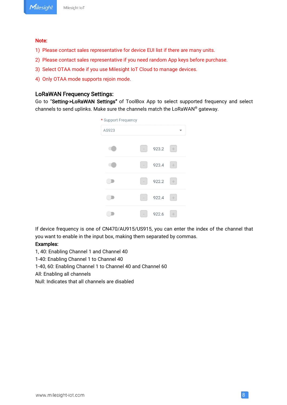#### Note:

- 1) Please contact sales representative for device EUI list if there are many units.
- 2) Please contact sales representative if you need random App keys before purchase.
- 3) Select OTAA mode if you use Milesight IoT Cloud to manage devices.
- 4) Only OTAA mode supports rejoin mode.

#### LoRaWAN Frequency Settings:

Go to "Setting->LoRaWAN Settings" of ToolBox App to select supported frequency and select channels to send uplinks. Make sure the channels match the LoRaWAN® gateway.



If device frequency is one of CN470/AU915/US915, you can enter the index of the channel that you want to enable in the input box, making them separated by commas.<br>Examples:

1, 40: Enabling Channel 1 and Channel 40

1-40: Enabling Channel 1 to Channel 40

1-40, 60: Enabling Channel 1 to Channel 40 and Channel 60

All: Enabling all channels

Null: Indicates that all channels are disabled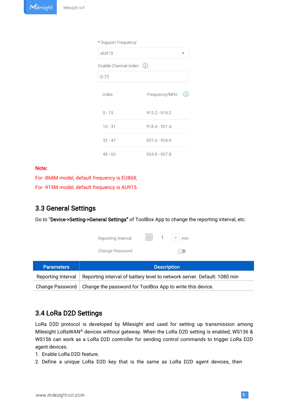<span id="page-8-0"></span>

| * Support Frequency      |                 |                  |
|--------------------------|-----------------|------------------|
| AU915                    |                 |                  |
| Enable Channel Index (i) |                 |                  |
| $0 - 71$                 |                 |                  |
| Index                    | Frequency/MHz   | $\left(1\right)$ |
| $0 - 15$                 | $915.2 - 918.2$ |                  |
| $16 - 31$                | $918.4 - 921.4$ |                  |
| $32 - 47$                | $921.6 - 924.6$ |                  |
| $48 - 63$                | $924.8 - 927.8$ |                  |

#### Note:

For -868M model, default frequency is EU868; For -915M model, default frequency is AU915.

### 3.3 General Settings

|                        | Go to "Device->Setting->General Settings" of ToolBox App to change the reporting interval, etc.<br>$+ \text{min}$<br>$\sim$<br>Reporting Interval |
|------------------------|---------------------------------------------------------------------------------------------------------------------------------------------------|
|                        | <b>Change Password</b>                                                                                                                            |
| <b>Parameters</b>      | <b>Description</b>                                                                                                                                |
| Reporting Interval     | Reporting interval of battery level to network server. Default: 1080 min                                                                          |
| <b>Change Password</b> | Change the password for ToolBox App to write this device.                                                                                         |

### 3.4 LoRa D2D Settings

LoRa D2D protocol is developed by Milesight and used for setting up transmission among Milesight LoRaWAN® devices without gateway. When the LoRa D2D setting is enabled, WS136 & WS156 can work as a LoRa D2D controller for sending control commands to trigger LoRa D2D agent devices.

- 1. Enable LoRa D2D feature.
- 2. Define a unique LoRa D2D key that is the same as LoRa D2D agent devices, then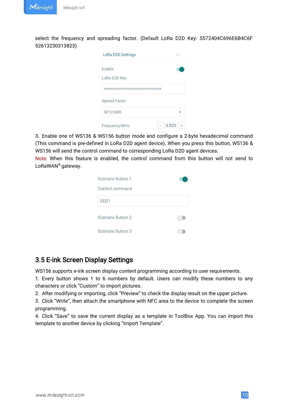<span id="page-9-0"></span>select the frequency and spreading factor. (Default LoRa D2D Key: 5572404C696E6B4C6F 52613230313823)

| <b>LoRa D2D Settings</b>        |            |
|---------------------------------|------------|
| Enable                          |            |
| LoRa D2D Key                    |            |
| ******************************* |            |
| <b>Spread Factor</b>            |            |
| SF12-DR0                        |            |
| Frequency/MHz                   | 9.525<br>÷ |

3. Enable one of WS136 & WS156 button mode and configure a 2-byte hexadecimal command (This command is pre-defined in LoRa D2D agent device). When you press this button, WS136 & WS156 will send the control command to corresponding LoRa D2D agent devices.

Note: When this feature is enabled, the control command from this button will not send to LoRaWAN® gateway.

| Scenario Button 1 |  |
|-------------------|--|
| Control command   |  |
| 0001              |  |
| Scenario Button 2 |  |
| Scenario Button 3 |  |

### 3.5 E-ink Screen Display Settings

WS156 supports e-ink screen display content programming according to user requirements.

1. Every button shows 1 to 6 numbers by default. Users can modify these numbers to any characters or click "Custom" to import pictures.

2. After modifying or importing, click "Preview" to check the display result on the upper picture.

3. Click "Write", then attach the smartphone with NFC area to the device to complete the screen programming.

4. Click "Save" to save the current display as a template in ToolBox App. You can import this template to another device by clicking "Import Template".

10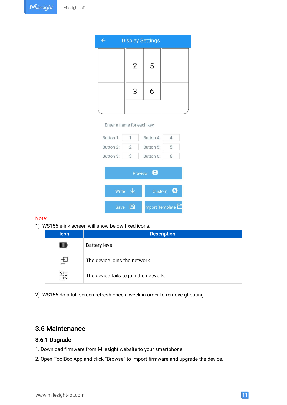<span id="page-10-0"></span>

| <b>Display Settings</b> |   |  |
|-------------------------|---|--|
| $\overline{2}$          | 5 |  |
| 3                       | 6 |  |
|                         |   |  |

#### Enter a name for each key

| Button 1: |                     | Button 4:           | 4        |
|-----------|---------------------|---------------------|----------|
| Button 2: | 2                   | Button 5:           | 5        |
| Button 3: | 3                   | Button 6:           | 6        |
|           |                     | $\alpha$<br>Preview |          |
|           | Write $\frac{1}{2}$ | Custom              | $\bf{O}$ |
| Save      |                     | mport Template      |          |

#### Note:

1) WS156 e-ink screen will show below fixed icons:

| <b>Icon</b> | <b>Description</b>                    |  |
|-------------|---------------------------------------|--|
|             | <b>Battery level</b>                  |  |
|             | The device joins the network.         |  |
| ñЯ          | The device fails to join the network. |  |

2) WS156 do a full-screen refresh once a week in order to remove ghosting.

### 3.6 Maintenance

### 3.6.1 Upgrade

- 1. Download firmware from Milesight website to your smartphone.
- 2. Open ToolBox App and click "Browse" to import firmware and upgrade the device.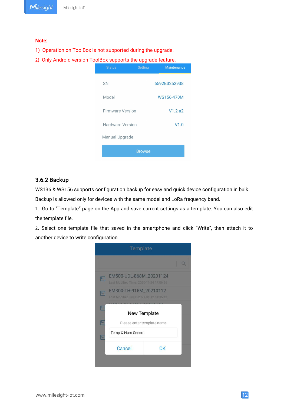#### <span id="page-11-0"></span>Note:

- 1) Operation on ToolBox is not supported during the upgrade.
- 2) Only Android version ToolBox supports the upgrade feature.

| <b>Status</b>           | <b>Setting</b> | <b>Maintenance</b> |
|-------------------------|----------------|--------------------|
| SN                      |                | 6592B3252938       |
| Model                   |                | WS156-470M         |
| <b>Firmware Version</b> |                | $V1.2-a2$          |
| Hardware Version        |                | V1.0               |
| Manual Upgrade          |                |                    |
|                         | <b>Browse</b>  |                    |

#### 3.6.2 Backup

WS136 & WS156 supports configuration backup for easy and quick device configuration in bulk.

Backup is allowed only for devices with the same model and LoRa frequency band.

1. Go to "Template" page on the App and save current settings as a template. You can also edit the template file.

2. Select one template file that saved in the smartphone and click "Write", then attach it to another device to write configuration.

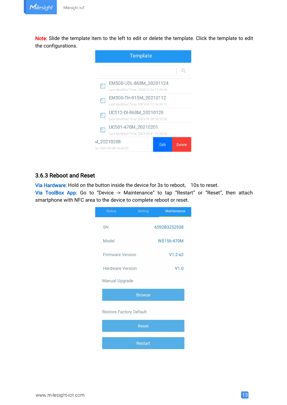<span id="page-12-0"></span>Note: Slide the template item to the left to edit or delete the template. Click the template to edit the configurations.



#### 3.6.3 Reboot and Reset

Via Hardware: Hold on the button inside the device for 3s to reboot, 10s to reset.

Via ToolBox App: Go to "Device -> Maintenance" to tap "Restart" or "Reset", then attach smartphone with NFC area to the device to complete reboot or reset.

| <b>Status</b>                  | <b>Setting</b> | Maintenance  |
|--------------------------------|----------------|--------------|
| <b>SN</b>                      |                | 6592B3252938 |
| Model                          |                | WS156-470M   |
| <b>Firmware Version</b>        |                | $V1.2-a2$    |
| <b>Hardware Version</b>        |                | V1.0         |
| Manual Upgrade                 |                |              |
|                                | <b>Browse</b>  |              |
| <b>Restore Factory Default</b> |                |              |
|                                | <b>Reset</b>   |              |
|                                | Restart        |              |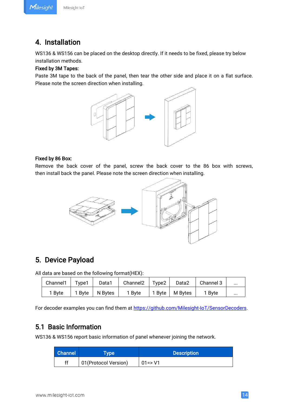Milesight

#### Milesight IoT

### <span id="page-13-1"></span><span id="page-13-0"></span>4. Installation

WS136 & WS156 can be placed on the desktop directly. If it needs to be fixed, please try below installation methods.

#### Fixed by 3M Tapes:

Paste 3M tape to the back of the panel, then tear the other side and place it on a flat surface. Please note the screen direction when installing.



#### Fixed by 86 Box:

Remove the back cover of the panel, screw the back cover to the 86 box with screws, then install back the panel. Please note the screen direction when installing.



### 5. Device Payload

All data are based on the following format(HEX):

| Channel1 | Type1  | Data1   | Channel <sub>2</sub> | Type <sub>2</sub>  | Data2   | Channel 3 | $\cdots$ |
|----------|--------|---------|----------------------|--------------------|---------|-----------|----------|
| 1 Byte   | 1 Byte | N Bytes | 1 Byte               | $1$ Byte $\vert$ . | M Bytes | 1 Byte    | $\cdots$ |

For decoder examples you can find them at [https://github.com/Milesight-IoT/SensorDecoders.](https://github.com/Milesight-IoT/SensorDecoders)

### 5.1 Basic Information

WS136 & WS156 report basic information of panel whenever joining the network.

| <b>Channel</b> | <b>Type</b>           | <b>Description</b> |
|----------------|-----------------------|--------------------|
| ff             | 01 (Protocol Version) | $01 = > V1$        |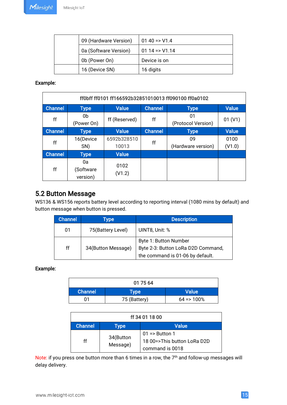<span id="page-14-0"></span>

| 09 (Hardware Version) | $0140 \approx 11.4$ |
|-----------------------|---------------------|
| 0a (Software Version) | $0114 = > 01.14$    |
| 0b (Power On)         | Device is on        |
| 16 (Device SN)        | 16 digits           |

#### Example:

|                |                             |                |                | ff0bff ff0101 ff166592b32851010013 ff090100 ff0a0102 |              |
|----------------|-----------------------------|----------------|----------------|------------------------------------------------------|--------------|
| <b>Channel</b> | <b>Type</b>                 | <b>Value</b>   | <b>Channel</b> | <b>Type</b>                                          | <b>Value</b> |
| ff             | 0b<br>(Power On)            | ff (Reserved)  | ff             | 01<br>(Protocol Version)                             | 01 (V1)      |
| <b>Channel</b> | <b>Type</b>                 | <b>Value</b>   | <b>Channel</b> | <b>Type</b>                                          | <b>Value</b> |
| ff             | 16(Device                   | 6592b328510    | ff             | 09                                                   | 0100         |
|                | SN)                         | 10013          |                | (Hardware version)                                   | (V1.0)       |
| <b>Channel</b> | <b>Type</b>                 | <b>Value</b>   |                |                                                      |              |
| ff             | 0a<br>(Software<br>version) | 0102<br>(V1.2) |                |                                                      |              |

### 5.2 Button Message

WS136 & WS156 reports battery level according to reporting interval (1080 mins by default) and button message when button is pressed.

| <b>Channel</b> | <b>Type</b>        | <b>Description</b>                 |
|----------------|--------------------|------------------------------------|
| 01             | 75(Battery Level)  | UINT8, Unit: %                     |
|                |                    | Byte 1: Button Number              |
| ff             | 34(Button Message) | Byte 2-3: Button LoRa D2D Command, |
|                |                    | the command is 01-06 by default.   |

### Example:

| 01 75 64       |              |              |
|----------------|--------------|--------------|
| <b>Channel</b> | <b>Type</b>  | <b>Value</b> |
| 01             | 75 (Battery) | $64 = 100%$  |

| ff 34 01 18 00 |           |                             |
|----------------|-----------|-----------------------------|
| 'Channel ,     | Type      | Value                       |
|                | 34(Button | $01 \Rightarrow$ Button 1   |
| ff             | Message)  | 18 00=>This button LoRa D2D |
|                |           | command is 0018             |

Note: if you press one button more than 6 times in a row, the 7<sup>th</sup> and follow-up messages will delay delivery.